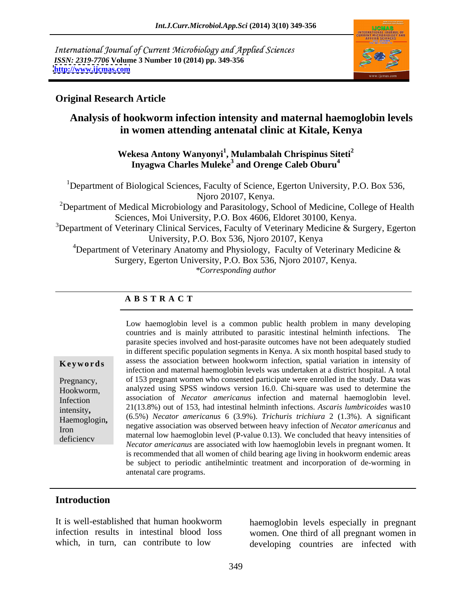International Journal of Current Microbiology and Applied Sciences *ISSN: 2319-7706* **Volume 3 Number 10 (2014) pp. 349-356 <http://www.ijcmas.com>**



### **Original Research Article**

## **Analysis of hookworm infection intensity and maternal haemoglobin levels in women attending antenatal clinic at Kitale, Kenya**

### **Wekesa Antony Wanyonyi<sup>1</sup> , Mulambalah Chrispinus Siteti<sup>2</sup> Inyagwa Charles Muleke<sup>3</sup> and Orenge Caleb Oburu<sup>4</sup>**

<sup>1</sup>Department of Biological Sciences, Faculty of Science, Egerton University, P.O. Box 536, Njoro 20107, Kenya. <sup>2</sup>Department of Medical Microbiology and Parasitology, School of Medicine, College of Health Sciences, Moi University, P.O. Box 4606, Eldoret 30100, Kenya. <sup>3</sup>Department of Veterinary Clinical Services, Faculty of Veterinary Medicine & Surgery, Egerton University, P.O. Box 536, Njoro 20107, Kenya <sup>4</sup>Department of Veterinary Anatomy and Physiology, Faculty of Veterinary Medicine  $\&$ 

Surgery, Egerton University*,* P.O. Box 536, Njoro 20107, Kenya. *\*Corresponding author* 

### **A B S T R A C T**

intensity**,** Haemoglogin**,** 

**Keywords** assess the association between hookworm infection, spatial variation in intensity of Pregnancy, of 153 pregnant women who consented participate were enrolled in the study. Data was Hookworm, analyzed using SPSS windows version 16.0. Chi-square was used to determine the Infection association of *Necator americanus* infection and maternal haemoglobin level. negative association was observed between heavy infection of *Necator americanus* and<br>Iron meteorol law has vertebral (Ranky 0.12). We can hald that have intensitive of deficiency<br>*Necator americanus* are associated with low haemoglobin levels in pregnant women. It Low haemoglobin level is a common public health problem in many developing countries and is mainly attributed to parasitic intestinal helminth infections. The parasite species involved and host-parasite outcomes have not been adequately studied in different specific population segments in Kenya. A six month hospital based study to infection and maternal haemoglobin levels was undertaken at a district hospital. A total 21(13.8%) out of 153, had intestinalhelminth infections. *Ascaris lumbricoides* was10 (6.5%) *Necator americanus* 6 (3.9%). *Trichuris trichiura* 2 (1.3%). A significant maternal low haemoglobin level (P-value 0.13). We concluded that heavy intensities of is recommended that all women of child bearing age living in hookworm endemic areas be subject to periodic antihelmintic treatment and incorporation of de-worming in antenatal care programs.

### **Introduction**

It is well-established that human hookworm

infection results in intestinal blood loss women. One third of all pregnant women in which, in turn, can contribute to low developing countries are infected with haemoglobin levels especially in pregnant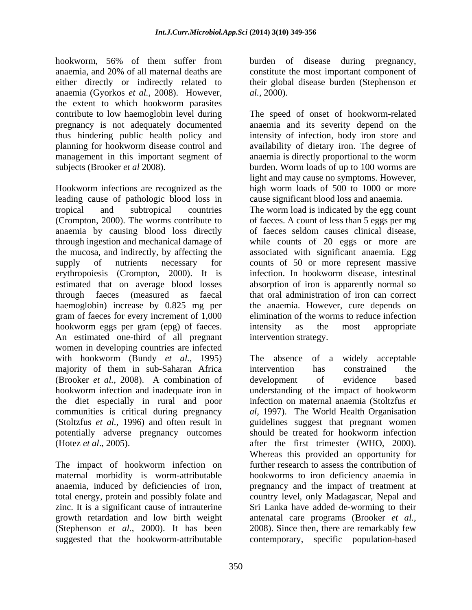hookworm, 56% of them suffer from burden of disease during pregnancy, anaemia, and 20% of all maternal deaths are constitute the most important component of either directly or indirectly related to anaemia (Gyorkos *et al.,* 2008). However, the extent to which hookworm parasites

Hookworm infections are recognized as the high worm loads of 500 to 1000 or more leading cause of pathologic blood loss in anaemia by causing blood loss directly gram of faeces for every increment of 1,000 hookworm eggs per gram (epg) of faeces. intensity as the most appropriate An estimated one-third of all pregnant women in developing countries are infected with hookworm (Bundy *et al.,* 1995) majority of them in sub-Saharan Africa (Brooker *et al.*, 2008). A combination of development of evidence based potentially adverse pregnancy outcomes

maternal morbidity is worm-attributable anaemia, induced by deficiencies of iron, their global disease burden (Stephenson *et al.,* 2000).

contribute to low haemoglobin level during The speed of onset of hookworm-related pregnancy is not adequately documented anaemia and its severity depend on the thus hindering public health policy and intensity of infection, body iron store and planning for hookworm disease control and availability of dietary iron. The degree of management in this important segment of anaemia is directly proportional to the worm subjects (Brooker *et al* 2008). burden. Worm loads of up to 100 worms are light and may cause no symptoms. However, cause significant blood loss and anaemia.

tropical and subtropical countries The worm load is indicated by the egg count (Crompton, 2000). The worms contribute to of faeces. A count of less than 5 eggs per mg through ingestion and mechanical damage of while counts of 20 eggs or more are the mucosa, and indirectly, by affecting the associated with significant anaemia. Egg supply of nutrients necessary for counts of 50 or more represent massive erythropoiesis (Crompton, 2000). It is infection. In hookworm disease, intestinal estimated that on average blood losses absorption of iron is apparently normal so through faeces (measured as faecal that oral administration of iron can correct haemoglobin) increase by 0.825 mg per the anaemia. However, cure depends on of faeces seldom causes clinical disease, elimination of the worms to reduce infection intensity as the most appropriate intervention strategy.

hookworm infection and inadequate iron in understanding of the impact of hookworm the diet especially in rural and poor infection on maternal anaemia (Stoltzfus *et*  communities is critical during pregnancy *al,* 1997). The World Health Organisation (Stoltzfus *et al.,* 1996) and often result in guidelines suggest that pregnant women (Hotez *et al*., 2005). after the first trimester (WHO, 2000). The impact of hookworm infection on further research to assess the contribution of total energy, protein and possibly folate and country level, only Madagascar, Nepal and zinc. It is a significant cause of intrauterine Sri Lanka have added de-worming to their growth retardation and low birth weight antenatal care programs (Brooker *et al.,* (Stephenson *et al.,* 2000). It has been 2008). Since then, there are remarkably few suggested that the hookworm-attributable contemporary, specific population-based The absence of a widely acceptable intervention has constrained the development of evidence based should be treated for hookworm infection Whereas this provided an opportunity for hookworms to iron deficiency anaemia in pregnancy and the impact of treatment at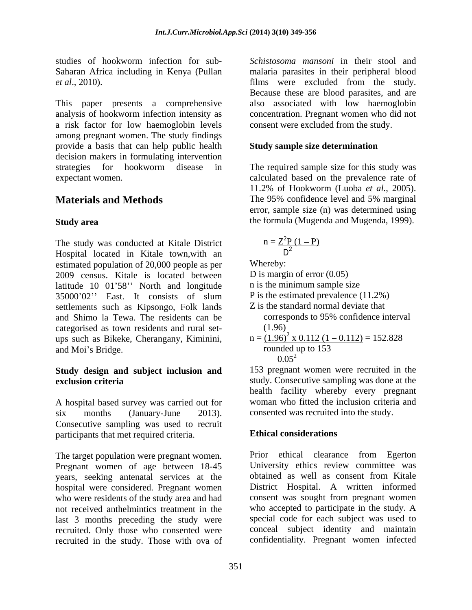studies of hookworm infection for sub-

This paper presents a comprehensive also associated with low haemoglobin analysis of hookworm infection intensity as concentration. Pregnant women who did not a risk factor for low haemoglobin levels among pregnant women. The study findings provide a basis that can help public health decision makers in formulating intervention strategies for hookworm disease in The required sample size for this study was expectant women. calculated based on the prevalence rate of

The study was conducted at Kitale District Hospital located in Kitale town,with an estimated population of 20,000 people as per<br>
2009 census. Kitale is located between D is margin of error (0.05) 2009 census. Kitale is located between latitude  $10 \t01'58''$  North and longitude  $35000'02'$  East. It consists of slum P is the estimated prevalence  $(11.2\%)$ settlements such as Kipsongo, Folk lands and Shimo la Tewa. The residents can be categorised as town residents and rural set ups such as Bikeke, Cherangany, Kiminini, and Moi's Bridge. The contraction of the contraction of the state of the state of the state of the state of the state of the state of the state of the state of the state of the state of the state of the state of the state

# **Study design and subject inclusion and**

A hospital based survey was carried out for six months (January-June 2013). consented was recruited into the study. Consecutive sampling was used to recruit participants that met required criteria. **Ethical considerations** 

Pregnant women of age between 18-45 University ethics review committee was<br>vears seeking antenatal services at the solutioned as well as consent from Kitale years, seeking antenatal services at the hospital were considered. Pregnant women last 3 months preceding the study were recruited. Only those who consented were recruited in the study. Those with ova of

Saharan Africa including in Kenya (Pullan malaria parasites in their peripheral blood *et al*., 2010). films were excluded from the study. *Schistosoma mansoni* in their stool and Because these are blood parasites, and are consent were excluded from the study.

### **Study sample size determination**

**Materials and Methods** The 95% confidence level and 5% marginal **Study area**  the formula (Mugenda and Mugenda, 1999). 11.2% of Hookworm (Luoba *et al.*, 2005).<br>The 95% confidence level and 5% marginal error, sample size (n) was determined using

$$
n = \frac{Z^2 P (1 - P)}{D^2}
$$

Whereby:<br>D is margin of error (0.05)

- n is the minimum sample size
- P is the estimated prevalence (11.2%)
- Z is the standard normal deviate that corresponds to 95% confidence interval (1.96)

n = 
$$
\frac{(1.96)^2 \times 0.112 (1 - 0.112)}{\text{rounded up to } 153} = 152.828
$$

**exclusion criteria** executive sampling was done at the study. Consecutive sampling was done at the  $0.05<sup>2</sup>$ <br>153 pregnant women were recruited in the health facility whereby every pregnant woman who fitted the inclusion criteria and

### **Ethical considerations**

 The target population were pregnant women. Prior ethical clearance from Egerton who were residents of the study area and had consent was sought from pregnant women not received anthelmintics treatment in the who accepted to participate in the study. A University ethics review committee was obtained as well as consent from Kitale District Hospital. A written informed special code for each subject was used to conceal subject identity and maintain confidentiality. Pregnant women infected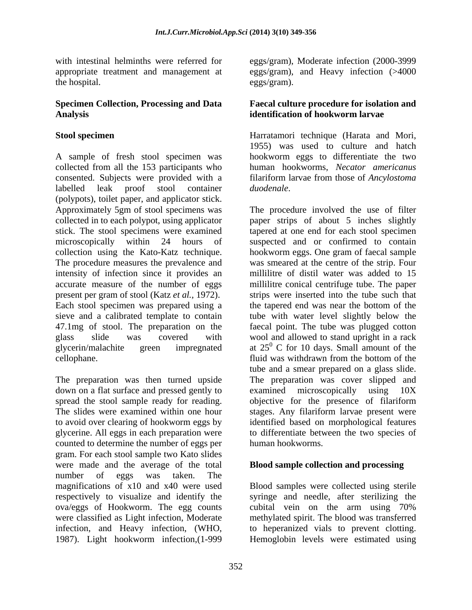appropriate treatment and management at

A sample of fresh stool specimen was hookworm eggs to differentiate the two collected from all the 153 participants who human hookworms, *Necator americanus* consented. Subjects were provided with a filariform larvae from those of *Ancylostoma*  labelled leak proof stool container *duodenale*. (polypots), toilet paper, and applicator stick. Approximately 5gm of stool specimens was collected in to each polypot, using applicator paper strips of about 5 inches slightly stick. The stool specimens were examined tapered at one end for each stool specimen microscopically within 24 hours of suspected and or confirmed to contain collection using the Kato-Katz technique. hookworm eggs. One gram of faecal sample The procedure measures the prevalence and was smeared at the centre of the strip. Four intensity of infection since it provides an accurate measure of the number of eggs millilitre conical centrifuge tube. The paper present per gram of stool (Katz *et al.,* 1972). strips were inserted into the tube such that Each stool specimen was prepared using a sieve and a calibrated template to contain 47.1mg of stool. The preparation on the glass slide was covered with wool and allowed to stand upright in a rack glycerin/malachite green impregnated at  $25^{\circ}$  C for 10 days. Small amount of the cellophane. Thuid was withdrawn from the bottom of the

down on a flat surface and pressed gently to examined microscopically using  $10X$ to avoid over clearing of hookworm eggs by counted to determine the number of eggs per gram. For each stool sample two Kato slides were made and the average of the total **Blood sample collection and processing** number of eggs was taken. The magnifications of x10 and x40 were used Blood samples were collected using sterile respectively to visualize and identify the syringe and needle, after sterilizing the ova/eggs of Hookworm. The egg counts were classified as Light infection, Moderate methylated spirit. The blood was transferred infection, and Heavy infection, (WHO,

with intestinal helminths were referred for eggs/gram), Moderate infection (2000-3999 the hospital. the hospital eggs/gram). eggs/gram), and Heavy infection (>4000 eggs/gram).

### **Specimen Collection, Processing and Data Faecal culture procedure for isolation and Analysis identification of hookworm larvae**

**Stool specimen** Harratamori technique (Harata and Mori, 1955) was used to culture and hatch *duodenale*.

The preparation was then turned upside The preparation was cover slipped and spread the stool sample ready for reading. objective for the presence of filariform The slides were examined within one hour stages. Any filariform larvae present were glycerine. All eggs in each preparation were to differentiate between the two species of The procedure involved the use of filter millilitre of distil water was added to 15 the tapered end was near the bottom of the tube with water level slightly below the faecal point. The tube was plugged cotton fluid was withdrawn from the bottom of the tube and a smear prepared on a glass slide. examined microscopically using 10X identified based on morphological features human hookworms.

1987). Light hookworm infection,(1-999 Hemoglobin levels were estimated usingcubital vein on the arm using 70% to heperanized vials to prevent clotting.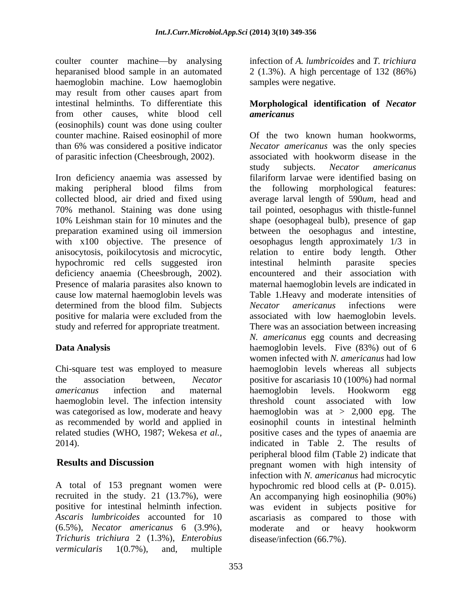coulter counter machine—by analysing heparanised blood sample in an automated 2 (1.3%). A high percentage of 132 (86%) haemoglobin machine. Low haemoglobin may result from other causes apart from intestinal helminths. To differentiate this **Morphological identification of** *Necator*  from other causes, white blood cell **americanus** (eosinophils) count was done using coulter counter machine. Raised eosinophil of more

hypochromic red cells suggested iron intestinal helminth parasite species deficiency anaemia (Cheesbrough, 2002). Presence of malaria parasites also known to determined from the blood film. Subjects Necator americanus infections were positive for malaria were excluded from the

haemoglobin level. The infection intensity the shold count associated with low

(6.5%), *Necator americanus* 6 (3.9%), *Trichuris trichiura* 2 (1.3%), *Enterobius vermicularis* 1(0.7%), and, multiple

infection of *A. lumbricoides* and *T. trichiura* samples were negative.

# *americanus*

than 6% was considered a positive indicator *Necator americanus* was the only species of parasitic infection (Cheesbrough, 2002). associated with hookworm disease in the study subjects. *Necator americanus*<br>Iron deficiency anaemia was assessed by filariform larvae were identified basing on making peripheral blood films from collected blood, air dried and fixed using average larval length of 590*um*, head and 70% methanol. Staining was done using tail pointed, oesophagus with thistle-funnel 10% Leishman stain for 10 minutes and the shape (oesophageal bulb), presence of gap preparation examined using oil immersion between the oesophagus and intestine, with x100 objective. The presence of oesophagus length approximately 1/3 in anisocytosis, poikilocytosis and microcytic, relation to entire body length. Other cause low maternal haemoglobin levels was Table 1.Heavy and moderate intensities of study and referred for appropriate treatment. There was an association between increasing **Data Analysis** haemoglobin levels. Five (83%) out of 6 Chi-square test was employed to measure haemoglobin levels whereas all subjects the association between, *Necator*  positive for ascariasis 10 (100%) had normal *americanus* infection and maternal was categorised as low, moderate and heavy haemoglobin was at > 2,000 epg. The as recommended by world and applied in eosinophil counts in intestinal helminth related studies (WHO, 1987; Wekesa *et al.,* positive cases and the types of anaemia are 2014). indicated in Table 2. The results of **Results and Discussion pregnant** women with high intensity of A total of 153 pregnant women were hypochromic red blood cells at (P- 0.015). recruited in the study. 21 (13.7%), were An accompanying high eosinophilia (90%) positive for intestinal helminth infection. was evident in subjects positive for *Ascaris lumbricoides* accounted for 10 ascariasis as compared to those with Of the two known human hookworms, study subjects. *Necator americanus* filariform larvae were identified basing on the following morphological features: intestinal helminth parasite species encountered and their association with maternal haemoglobin levels are indicated in *Necator americanus* infections were associated with low haemoglobin levels. *N. americanus* egg counts and decreasing women infected with *N. americanus* had low haemoglobin levels. Hookworm egg threshold count associated with low peripheral blood film (Table 2) indicate that infection with *N. americanus* had microcytic moderate and or heavy hookworm disease/infection (66.7%).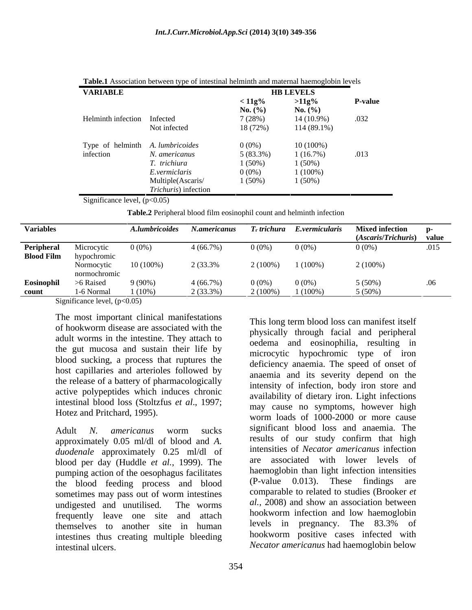|                                  | <b>Table.1</b> Association between type of intestinal helminth and maternal haemoglobin levels                                                  |                    |                                                                                                                      |                |  |
|----------------------------------|-------------------------------------------------------------------------------------------------------------------------------------------------|--------------------|----------------------------------------------------------------------------------------------------------------------|----------------|--|
| <b>VARIABLE</b>                  |                                                                                                                                                 |                    | <b>HB LEVELS</b>                                                                                                     |                |  |
|                                  |                                                                                                                                                 | $< 11g\%$          | $>11g\%$                                                                                                             | <b>P-value</b> |  |
|                                  |                                                                                                                                                 | <b>No.</b> $(\% )$ | <b>No.</b> $(\% )$                                                                                                   |                |  |
| Helminth infection Infected      |                                                                                                                                                 | 7(28%)             | 14 (10.9%)                                                                                                           | .032           |  |
|                                  | Not infected                                                                                                                                    | 18 (72%)           | 114 (89.1%)                                                                                                          |                |  |
| Type of helminth A. lumbricoides |                                                                                                                                                 | $0(0\%)$           | $10(100\%)$                                                                                                          |                |  |
| infection                        | N. americanus                                                                                                                                   | 5(83.3%)           | 1(16.7%)                                                                                                             | .013           |  |
|                                  | T. trichiura                                                                                                                                    | $1(50\%)$          | 1(50%)                                                                                                               |                |  |
|                                  | E.vermiclaris                                                                                                                                   | $0(0\%)$           | $1(100\%)$                                                                                                           |                |  |
|                                  | Multiple(Ascaris/                                                                                                                               | $1(50\%)$          | 1(50%)                                                                                                               |                |  |
|                                  | <i>Trichuris</i> ) infection<br>the contract of the contract of the contract of the contract of the contract of the contract of the contract of |                    | <u> 1980 - Jan Samuel Barbara, martin da shekarar 1980 - An tsara a shekara tsa a shekara tsa a shekara tsa a sh</u> |                |  |

Significance level,  $(p<0.05)$ 

**Table.2** Peripheral blood film eosinophil count and helminth infection

| <b>Variables</b> |                                                       | A.lumbricoides N.americanus |             |            | T. trichura E.vermicularis | <b>Mixed infection</b>    |                                                 |
|------------------|-------------------------------------------------------|-----------------------------|-------------|------------|----------------------------|---------------------------|-------------------------------------------------|
|                  |                                                       |                             |             |            |                            | (Ascaris/Trichuris) value |                                                 |
| Peripheral       | Microcytic                                            | $0(0\%)$                    | 4 (66.7%)   | $0(0\%)$   | $0(0\%$                    |                           | .015                                            |
|                  | <b>Blood Film</b> hypochromic                         |                             |             |            |                            |                           |                                                 |
|                  | Normocytic                                            | $10(100\%)$                 | 2 (33.3%)   | $2(100\%)$ | $1(100\%)$                 | 2(100%)                   |                                                 |
|                  | normochromic                                          |                             |             |            |                            |                           |                                                 |
| Eosinophil       | >6 Raised                                             | $9(90\%)$                   |             | $0(0\%)$   | 0(0%                       | $5(50\%)$                 | .06                                             |
| count            | 1-6 Normal                                            |                             | $2(33.3\%)$ | $2(100\%)$ |                            | $5(50\%)$                 |                                                 |
|                  | $\alpha$ $\alpha$ $\alpha$ $\alpha$ $\alpha$ $\alpha$ | $1(10\%)$                   |             |            | $1(100\%)$                 |                           | the contract of the contract of the contract of |

Significance level,  $(p<0.05)$ 

The most important clinical manifestations adult worms in the intestine. They attach to the gut mucosa and sustain their life by blood sucking, a process that ruptures the host capillaries and arterioles followed by the release of a battery of pharmacologically active polypeptides which induces chronic intestinal blood loss (Stoltzfus *et al*., 1997;

approximately 0.05 ml/dl of blood and *A. duodenale* approximately 0.25 ml/dl of <sup>inter</sup> blood per day (Huddle *et al.*, 1999). The pumping action of the oesophagus facilitates have had been at the blood feeding process and blood (P-value 0.013). These findings are the blood feeding process and blood sometimes may pass out of worm intestines frequently leave one site and attach the nookworm infection and low haemoglobin<br>themselves to another site in human levels in pregnancy. The 83.3% of themselves to another site in human intestines thus creating multiple bleeding intestinal ulcers. *Necator americanus* had haemoglobin below

of hookworm disease are associated with the the physically through facial and peripheral Hotez and Pritchard, 1995). worm loads of 1000-2000 or more cause Adult *N. americanus* worm sucks undigested and unutilised. The worms *al.,* 2008) and show an association between This long term blood loss can manifest itself physically through facial and peripheral oedema and eosinophilia, resulting in microcytic hypochromic type of iron deficiency anaemia. The speed of onset of anaemia and its severity depend on the intensity of infection, body iron store and availability of dietary iron. Light infections may cause no symptoms, however high significant blood loss and anaemia. The results of our study confirm that high intensities of *Necator americanus* infection associated with lower levels of haemoglobin than light infection intensities  $(P-value \quad 0.013)$ . These findings comparable to related to studies (Brooker *et*  hookworm infection and low haemoglobin levels in pregnancy. The 83.3% of hookworm positive cases infected with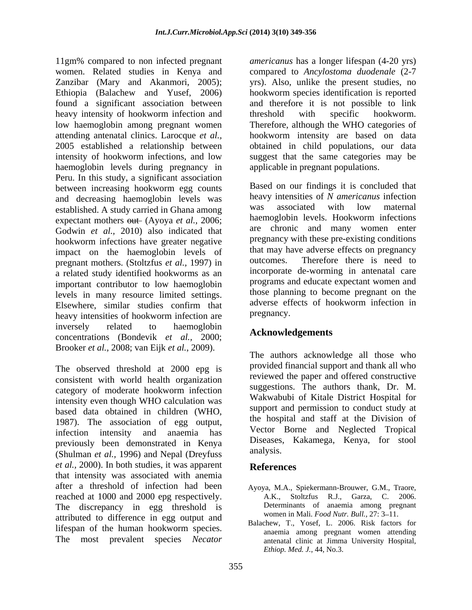11gm% compared to non infected pregnant *americanus* has a longer lifespan (4-20 yrs) women. Related studies in Kenya and compared to *Ancylostoma duodenale* (2-7 Zanzibar (Mary and Akanmori, 2005); yrs). Also, unlike the present studies, no Ethiopia (Balachew and Yusef, 2006) found a significant association between and therefore it is not possible to link heavy intensity of hookworm infection and threshold with specific hookworm. low haemoglobin among pregnant women Therefore, although the WHO categories of attending antenatal clinics. Larocque *et al.,* hookworm intensity are based on data 2005 established a relationship between obtained in child populations, our data intensity of hookworm infections, and low suggest that the same categories may be haemoglobin levels during pregnancy in Peru. In this study, a significant association between increasing hookworm egg counts and decreasing haemoglobin levels was heavy intensities of N americanus infection<br>established A study carried in Ghana among was associated with low maternal established. A study carried in Ghana among was associated with low maternal<br>expectant mothers out (Avoya et al. 2006; haemoglobin levels. Hookworm infections expectant mothers out (Ayoya *et al., 2006*; Godwin *et al.,* 2010) also indicated that hookworm infections have greater negative impact on the haemoglobin levels of that may have adverse effects on pregnancy<br>programs methors (Stoltzfus et al. 1007) in outcomes. Therefore there is need to pregnant mothers. (Stoltzfus *et al.,* 1997) in a related study identified hookworms as an important contributor to low haemoglobin levels in many resource limited settings. those planning to become pregnant on the Electron cimilar studies confirm that adverse effects of hookworm infection in Elsewhere, similar studies confirm that adverse eff<br>heavy intensities of hookworm infection are pregnancy. heavy intensities of hookworm infection are inversely related to haemoglobin concentrations (Bondevik *et al.,* 2000; Brooker *et al.,* 2008; van Eijk *et al.*, 2009).

The observed threshold at 2000 epg is consistent with world health organization category of moderate hookworm infection intensity even though WHO calculation was based data obtained in children (WHO, 1987). The association of egg output, infection intensity and anaemia has previously been demonstrated in Kenya Diseases,<br>(Shulman et al. 1006) and Napal (Drawfuse analysis. (Shulman *et al.,* 1996) and Nepal (Dreyfuss *et al.*, 2000). In both studies, it was apparent **References** that intensity was associated with anemia after a threshold of infection had been Ayoya, M.A., Spiekermann-Brouwer, G.M., Traore, reached at 1000 and 2000 epg respectively. A.K., Stoltzfus R.J., Garza, C. 2006. The discrepancy in egg threshold is attributed to difference in egg output and lifespan of the human hookworm species. The most prevalent species *Necator* 

hookworm species identification is reported threshold with specific hookworm. applicable in pregnant populations.

Based on our findings it is concluded that heavy intensities of *N americanus* infection was associated with low maternal haemoglobin levels. Hookworm infections are chronic and many women enter pregnancy with these pre-existing conditions that may have adverse effects on pregnancy outcomes. Therefore there is need to incorporate de-worming in antenatal care programs and educate expectant women and those planning to become pregnant on the adverse effects of hookworm infection in pregnancy.

## **Acknowledgements**

The authors acknowledge all those who provided financial support and thank all who reviewed the paper and offered constructive suggestions. The authors thank, Dr. M. Wakwabubi of Kitale District Hospital for support and permission to conduct study at the hospital and staff at the Division of Vector Borne and Neglected Tropical Diseases, Kakamega, Kenya, for stool analysis.

### **References**

- A.K., Stoltzfus R.J., Garza, C. Determinants of anaemia among pregnant women in Mali. *Food Nutr. Bull.*, 27: 3–11.
- Balachew, T., Yosef, L. 2006. Risk factors for anaemia among pregnant women attending antenatal clinic at Jimma University Hospital, *Ethiop. Med. J.*, 44, No.3.